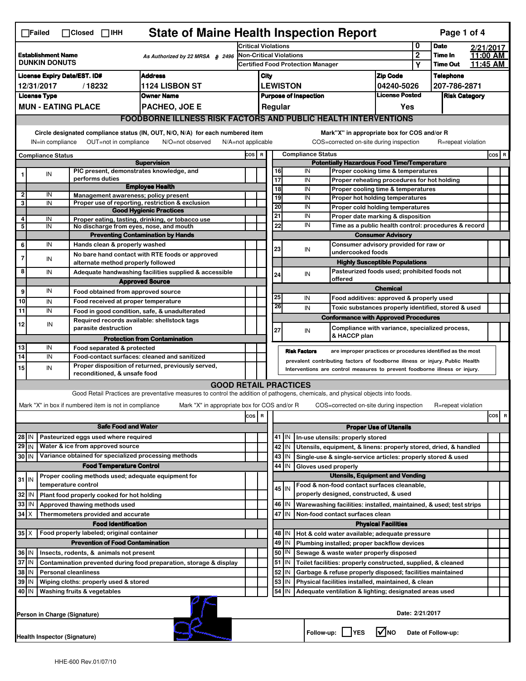| <b>State of Maine Health Inspection Report</b><br>Page 1 of 4<br>$\Box$ Failed<br>$\Box$ Closed $\Box$ IHH |                                                                                |  |                                                       |                                                                                                                                                                                                                                                                  |                                                                                                                                   |                                                                            |                                                                                         |                                                                                         |                                                                                       |                     |                                                                    |                                                                                       |                            |                  |                      |                      |           |
|------------------------------------------------------------------------------------------------------------|--------------------------------------------------------------------------------|--|-------------------------------------------------------|------------------------------------------------------------------------------------------------------------------------------------------------------------------------------------------------------------------------------------------------------------------|-----------------------------------------------------------------------------------------------------------------------------------|----------------------------------------------------------------------------|-----------------------------------------------------------------------------------------|-----------------------------------------------------------------------------------------|---------------------------------------------------------------------------------------|---------------------|--------------------------------------------------------------------|---------------------------------------------------------------------------------------|----------------------------|------------------|----------------------|----------------------|-----------|
| <b>Establishment Name</b><br>As Authorized by 22 MRSA § 2496<br><b>DUNKIN DONUTS</b>                       |                                                                                |  |                                                       |                                                                                                                                                                                                                                                                  | <b>Critical Violations</b>                                                                                                        |                                                                            |                                                                                         |                                                                                         |                                                                                       |                     | 0<br><b>Date</b>                                                   |                                                                                       | 2/21/2017                  |                  |                      |                      |           |
|                                                                                                            |                                                                                |  |                                                       |                                                                                                                                                                                                                                                                  |                                                                                                                                   | <b>Non-Critical Violations</b><br><b>Certified Food Protection Manager</b> |                                                                                         |                                                                                         |                                                                                       |                     |                                                                    | $\mathbf 2$<br>Υ                                                                      | Time In<br><b>Time Out</b> |                  | 11:00 AM<br>11:45 AM |                      |           |
| <b>Address</b><br><b>License Expiry Date/EST. ID#</b>                                                      |                                                                                |  |                                                       |                                                                                                                                                                                                                                                                  |                                                                                                                                   | City                                                                       |                                                                                         |                                                                                         |                                                                                       |                     |                                                                    |                                                                                       |                            | <b>Telephone</b> |                      |                      |           |
| /18232<br><b>1124 LISBON ST</b><br>12/31/2017                                                              |                                                                                |  |                                                       |                                                                                                                                                                                                                                                                  |                                                                                                                                   |                                                                            |                                                                                         |                                                                                         | <b>LEWISTON</b>                                                                       |                     |                                                                    | <b>Zip Code</b><br>04240-5026                                                         |                            | 207-786-2871     |                      |                      |           |
| <b>License Type</b><br><b>Owner Name</b>                                                                   |                                                                                |  |                                                       |                                                                                                                                                                                                                                                                  |                                                                                                                                   |                                                                            | <b>Purpose of Inspection</b>                                                            |                                                                                         |                                                                                       |                     |                                                                    |                                                                                       | <b>License Posted</b>      |                  |                      | <b>Risk Category</b> |           |
| <b>MUN - EATING PLACE</b><br><b>PACHEO, JOE E</b>                                                          |                                                                                |  |                                                       |                                                                                                                                                                                                                                                                  |                                                                                                                                   |                                                                            |                                                                                         |                                                                                         | Regular                                                                               |                     |                                                                    |                                                                                       | Yes                        |                  |                      |                      |           |
| <b>FOODBORNE ILLNESS RISK FACTORS AND PUBLIC HEALTH INTERVENTIONS</b>                                      |                                                                                |  |                                                       |                                                                                                                                                                                                                                                                  |                                                                                                                                   |                                                                            |                                                                                         |                                                                                         |                                                                                       |                     |                                                                    |                                                                                       |                            |                  |                      |                      |           |
|                                                                                                            | Circle designated compliance status (IN, OUT, N/O, N/A) for each numbered item |  |                                                       |                                                                                                                                                                                                                                                                  |                                                                                                                                   |                                                                            |                                                                                         |                                                                                         |                                                                                       |                     |                                                                    | Mark"X" in appropriate box for COS and/or R                                           |                            |                  |                      |                      |           |
|                                                                                                            | OUT=not in compliance<br>IN=in compliance<br>N/O=not observed                  |  |                                                       |                                                                                                                                                                                                                                                                  |                                                                                                                                   |                                                                            |                                                                                         | COS=corrected on-site during inspection<br>$N/A = not$ applicable<br>R=repeat violation |                                                                                       |                     |                                                                    |                                                                                       |                            |                  |                      |                      |           |
| <b>Compliance Status</b>                                                                                   |                                                                                |  |                                                       |                                                                                                                                                                                                                                                                  |                                                                                                                                   |                                                                            | COS R<br><b>Compliance Status</b><br><b>Potentially Hazardous Food Time/Temperature</b> |                                                                                         |                                                                                       |                     |                                                                    |                                                                                       |                            |                  | $cos$ R              |                      |           |
|                                                                                                            | IN                                                                             |  |                                                       |                                                                                                                                                                                                                                                                  | <b>Supervision</b><br>PIC present, demonstrates knowledge, and                                                                    |                                                                            |                                                                                         |                                                                                         | 16                                                                                    | IN                  |                                                                    | Proper cooking time & temperatures                                                    |                            |                  |                      |                      |           |
|                                                                                                            |                                                                                |  | performs duties                                       |                                                                                                                                                                                                                                                                  |                                                                                                                                   |                                                                            |                                                                                         |                                                                                         | 17                                                                                    | IN                  |                                                                    | Proper reheating procedures for hot holding                                           |                            |                  |                      |                      |           |
| $\mathbf{2}$                                                                                               | IN                                                                             |  |                                                       |                                                                                                                                                                                                                                                                  | <b>Employee Health</b>                                                                                                            |                                                                            |                                                                                         |                                                                                         | 18                                                                                    | IN                  |                                                                    | Proper cooling time & temperatures                                                    |                            |                  |                      |                      |           |
| 3                                                                                                          | IN                                                                             |  |                                                       |                                                                                                                                                                                                                                                                  | Management awareness; policy present<br>Proper use of reporting, restriction & exclusion                                          |                                                                            |                                                                                         |                                                                                         | 19<br>20                                                                              | IN                  |                                                                    | Proper hot holding temperatures                                                       |                            |                  |                      |                      |           |
|                                                                                                            |                                                                                |  |                                                       |                                                                                                                                                                                                                                                                  | <b>Good Hygienic Practices</b>                                                                                                    |                                                                            |                                                                                         |                                                                                         | 21                                                                                    | IN<br>IN            |                                                                    | Proper cold holding temperatures<br>Proper date marking & disposition                 |                            |                  |                      |                      |           |
| 4<br>5                                                                                                     | IN<br>IN                                                                       |  |                                                       |                                                                                                                                                                                                                                                                  | Proper eating, tasting, drinking, or tobacco use<br>No discharge from eyes, nose, and mouth                                       |                                                                            |                                                                                         |                                                                                         | 22                                                                                    | IN                  |                                                                    | Time as a public health control: procedures & record                                  |                            |                  |                      |                      |           |
|                                                                                                            |                                                                                |  |                                                       |                                                                                                                                                                                                                                                                  | <b>Preventing Contamination by Hands</b>                                                                                          |                                                                            |                                                                                         |                                                                                         |                                                                                       |                     |                                                                    | <b>Consumer Advisory</b>                                                              |                            |                  |                      |                      |           |
| 6                                                                                                          | IN                                                                             |  | Hands clean & properly washed                         |                                                                                                                                                                                                                                                                  |                                                                                                                                   |                                                                            |                                                                                         |                                                                                         | 23                                                                                    |                     | IN                                                                 | Consumer advisory provided for raw or                                                 |                            |                  |                      |                      |           |
|                                                                                                            | IN                                                                             |  |                                                       |                                                                                                                                                                                                                                                                  | No bare hand contact with RTE foods or approved                                                                                   |                                                                            |                                                                                         |                                                                                         |                                                                                       |                     |                                                                    | undercooked foods                                                                     |                            |                  |                      |                      |           |
| 8                                                                                                          |                                                                                |  |                                                       |                                                                                                                                                                                                                                                                  | alternate method properly followed                                                                                                |                                                                            |                                                                                         |                                                                                         |                                                                                       |                     |                                                                    | <b>Highly Susceptible Populations</b><br>Pasteurized foods used; prohibited foods not |                            |                  |                      |                      |           |
|                                                                                                            | IN                                                                             |  |                                                       |                                                                                                                                                                                                                                                                  | Adequate handwashing facilities supplied & accessible<br><b>Approved Source</b>                                                   |                                                                            |                                                                                         |                                                                                         | 24                                                                                    | IN                  |                                                                    | offered                                                                               |                            |                  |                      |                      |           |
| 9                                                                                                          | IN                                                                             |  |                                                       |                                                                                                                                                                                                                                                                  | Food obtained from approved source                                                                                                |                                                                            |                                                                                         |                                                                                         |                                                                                       |                     |                                                                    |                                                                                       | <b>Chemical</b>            |                  |                      |                      |           |
| 10                                                                                                         | IN                                                                             |  |                                                       |                                                                                                                                                                                                                                                                  | Food received at proper temperature                                                                                               |                                                                            |                                                                                         |                                                                                         | 25                                                                                    | IN                  |                                                                    | Food additives: approved & properly used                                              |                            |                  |                      |                      |           |
| 11                                                                                                         | IN                                                                             |  |                                                       |                                                                                                                                                                                                                                                                  | Food in good condition, safe, & unadulterated                                                                                     |                                                                            |                                                                                         |                                                                                         | 26                                                                                    |                     | IN                                                                 | Toxic substances properly identified, stored & used                                   |                            |                  |                      |                      |           |
| 12                                                                                                         | IN                                                                             |  |                                                       |                                                                                                                                                                                                                                                                  | Required records available: shellstock tags                                                                                       |                                                                            |                                                                                         |                                                                                         |                                                                                       |                     |                                                                    | <b>Conformance with Approved Procedures</b>                                           |                            |                  |                      |                      |           |
|                                                                                                            |                                                                                |  | parasite destruction                                  |                                                                                                                                                                                                                                                                  |                                                                                                                                   |                                                                            |                                                                                         |                                                                                         | 27                                                                                    |                     | IN                                                                 | Compliance with variance, specialized process,<br>& HACCP plan                        |                            |                  |                      |                      |           |
|                                                                                                            |                                                                                |  |                                                       |                                                                                                                                                                                                                                                                  | <b>Protection from Contamination</b>                                                                                              |                                                                            |                                                                                         |                                                                                         |                                                                                       |                     |                                                                    |                                                                                       |                            |                  |                      |                      |           |
| 13<br>14                                                                                                   | IN<br>IN                                                                       |  | Food separated & protected                            |                                                                                                                                                                                                                                                                  |                                                                                                                                   |                                                                            |                                                                                         |                                                                                         |                                                                                       | <b>Risk Factors</b> |                                                                    | are improper practices or procedures identified as the most                           |                            |                  |                      |                      |           |
| 15                                                                                                         | IN                                                                             |  |                                                       | Food-contact surfaces: cleaned and sanitized<br>prevalent contributing factors of foodborne illness or injury. Public Health<br>Proper disposition of returned, previously served,<br>Interventions are control measures to prevent foodborne illness or injury. |                                                                                                                                   |                                                                            |                                                                                         |                                                                                         |                                                                                       |                     |                                                                    |                                                                                       |                            |                  |                      |                      |           |
|                                                                                                            |                                                                                |  | reconditioned, & unsafe food                          |                                                                                                                                                                                                                                                                  |                                                                                                                                   |                                                                            |                                                                                         |                                                                                         |                                                                                       |                     |                                                                    |                                                                                       |                            |                  |                      |                      |           |
|                                                                                                            |                                                                                |  |                                                       |                                                                                                                                                                                                                                                                  | <b>GOOD RETAIL PRACTICES</b>                                                                                                      |                                                                            |                                                                                         |                                                                                         |                                                                                       |                     |                                                                    |                                                                                       |                            |                  |                      |                      |           |
|                                                                                                            |                                                                                |  |                                                       |                                                                                                                                                                                                                                                                  | Good Retail Practices are preventative measures to control the addition of pathogens, chemicals, and physical objects into foods. |                                                                            |                                                                                         |                                                                                         |                                                                                       |                     |                                                                    |                                                                                       |                            |                  |                      |                      |           |
|                                                                                                            |                                                                                |  | Mark "X" in box if numbered item is not in compliance |                                                                                                                                                                                                                                                                  | Mark "X" in appropriate box for COS and/or R                                                                                      |                                                                            |                                                                                         |                                                                                         |                                                                                       |                     |                                                                    | COS=corrected on-site during inspection                                               |                            |                  |                      | R=repeat violation   |           |
|                                                                                                            |                                                                                |  |                                                       |                                                                                                                                                                                                                                                                  |                                                                                                                                   | COS R                                                                      |                                                                                         |                                                                                         |                                                                                       |                     |                                                                    |                                                                                       |                            |                  |                      |                      | cosl<br>R |
| <b>Safe Food and Water</b><br>Pasteurized eggs used where required                                         |                                                                                |  |                                                       |                                                                                                                                                                                                                                                                  |                                                                                                                                   |                                                                            |                                                                                         |                                                                                         | <b>Proper Use of Utensils</b><br>41   IN<br>In-use utensils: properly stored          |                     |                                                                    |                                                                                       |                            |                  |                      |                      |           |
| $28$ IN<br>$29$ IN                                                                                         |                                                                                |  |                                                       |                                                                                                                                                                                                                                                                  |                                                                                                                                   |                                                                            |                                                                                         |                                                                                         | 42<br>IN                                                                              |                     |                                                                    | Utensils, equipment, & linens: properly stored, dried, & handled                      |                            |                  |                      |                      |           |
| Water & ice from approved source<br>Variance obtained for specialized processing methods<br>30 IN          |                                                                                |  |                                                       |                                                                                                                                                                                                                                                                  |                                                                                                                                   |                                                                            |                                                                                         | 43<br>IN                                                                                |                                                                                       |                     | Single-use & single-service articles: properly stored & used       |                                                                                       |                            |                  |                      |                      |           |
| <b>Food Temperature Control</b>                                                                            |                                                                                |  |                                                       |                                                                                                                                                                                                                                                                  |                                                                                                                                   |                                                                            |                                                                                         |                                                                                         | 44<br>IN                                                                              |                     |                                                                    | Gloves used properly                                                                  |                            |                  |                      |                      |           |
|                                                                                                            |                                                                                |  |                                                       |                                                                                                                                                                                                                                                                  | Proper cooling methods used; adequate equipment for                                                                               |                                                                            |                                                                                         | <b>Utensils, Equipment and Vending</b>                                                  |                                                                                       |                     |                                                                    |                                                                                       |                            |                  |                      |                      |           |
| $31$ IN<br>temperature control                                                                             |                                                                                |  |                                                       |                                                                                                                                                                                                                                                                  |                                                                                                                                   |                                                                            |                                                                                         |                                                                                         | 45 I IN                                                                               |                     |                                                                    | Food & non-food contact surfaces cleanable,                                           |                            |                  |                      |                      |           |
| 32<br>Plant food properly cooked for hot holding<br>IN                                                     |                                                                                |  |                                                       |                                                                                                                                                                                                                                                                  |                                                                                                                                   |                                                                            |                                                                                         | properly designed, constructed, & used                                                  |                                                                                       |                     |                                                                    |                                                                                       |                            |                  |                      |                      |           |
| 33<br>IN<br>Approved thawing methods used                                                                  |                                                                                |  |                                                       |                                                                                                                                                                                                                                                                  |                                                                                                                                   |                                                                            |                                                                                         | 46<br>IN                                                                                |                                                                                       |                     | Warewashing facilities: installed, maintained, & used; test strips |                                                                                       |                            |                  |                      |                      |           |
| $34$ $\times$<br>Thermometers provided and accurate                                                        |                                                                                |  |                                                       |                                                                                                                                                                                                                                                                  |                                                                                                                                   |                                                                            |                                                                                         |                                                                                         | 47 IN                                                                                 |                     |                                                                    | Non-food contact surfaces clean                                                       |                            |                  |                      |                      |           |
|                                                                                                            | <b>Food Identification</b>                                                     |  |                                                       |                                                                                                                                                                                                                                                                  |                                                                                                                                   |                                                                            |                                                                                         |                                                                                         | 48   IN                                                                               |                     |                                                                    |                                                                                       | <b>Physical Facilities</b> |                  |                      |                      |           |
| $35$ $\times$<br>Food properly labeled; original container<br><b>Prevention of Food Contamination</b>      |                                                                                |  |                                                       |                                                                                                                                                                                                                                                                  |                                                                                                                                   |                                                                            |                                                                                         |                                                                                         | 49<br>IN                                                                              |                     |                                                                    | Hot & cold water available; adequate pressure                                         |                            |                  |                      |                      |           |
| 36 IN<br>Insects, rodents, & animals not present                                                           |                                                                                |  |                                                       |                                                                                                                                                                                                                                                                  |                                                                                                                                   |                                                                            |                                                                                         | 50   IN                                                                                 | Plumbing installed; proper backflow devices<br>Sewage & waste water properly disposed |                     |                                                                    |                                                                                       |                            |                  |                      |                      |           |
| 37 IN<br>Contamination prevented during food preparation, storage & display                                |                                                                                |  |                                                       |                                                                                                                                                                                                                                                                  |                                                                                                                                   |                                                                            |                                                                                         | $51$ M                                                                                  |                                                                                       |                     | Toilet facilities: properly constructed, supplied, & cleaned       |                                                                                       |                            |                  |                      |                      |           |
| 38 IN<br><b>Personal cleanliness</b>                                                                       |                                                                                |  |                                                       |                                                                                                                                                                                                                                                                  |                                                                                                                                   |                                                                            |                                                                                         | 52                                                                                      | IN<br>Garbage & refuse properly disposed; facilities maintained                       |                     |                                                                    |                                                                                       |                            |                  |                      |                      |           |
| 39 IN<br>Wiping cloths: properly used & stored                                                             |                                                                                |  |                                                       |                                                                                                                                                                                                                                                                  |                                                                                                                                   |                                                                            |                                                                                         | 53<br>IN                                                                                |                                                                                       |                     | Physical facilities installed, maintained, & clean                 |                                                                                       |                            |                  |                      |                      |           |
|                                                                                                            | 40 IN<br>Washing fruits & vegetables                                           |  |                                                       |                                                                                                                                                                                                                                                                  |                                                                                                                                   |                                                                            |                                                                                         |                                                                                         | 54<br>IN                                                                              |                     |                                                                    | Adequate ventilation & lighting; designated areas used                                |                            |                  |                      |                      |           |
|                                                                                                            | Person in Charge (Signature)                                                   |  |                                                       |                                                                                                                                                                                                                                                                  |                                                                                                                                   |                                                                            |                                                                                         |                                                                                         |                                                                                       |                     |                                                                    |                                                                                       |                            | Date: 2/21/2017  |                      |                      |           |
| l√lno<br>Follow-up:     YES<br>Date of Follow-up:<br><b>Health Inspector (Signature)</b>                   |                                                                                |  |                                                       |                                                                                                                                                                                                                                                                  |                                                                                                                                   |                                                                            |                                                                                         |                                                                                         |                                                                                       |                     |                                                                    |                                                                                       |                            |                  |                      |                      |           |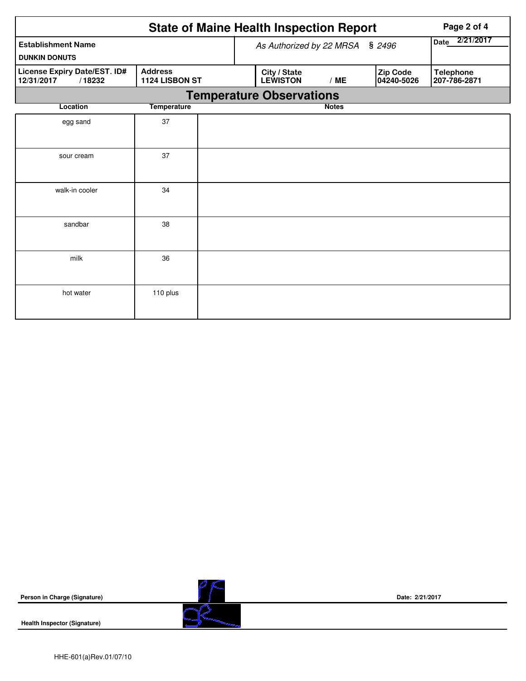|                                                      | Page 2 of 4                      |  |                                 |                   |                        |                                  |  |  |  |  |  |
|------------------------------------------------------|----------------------------------|--|---------------------------------|-------------------|------------------------|----------------------------------|--|--|--|--|--|
| <b>Establishment Name</b><br><b>DUNKIN DONUTS</b>    |                                  |  | As Authorized by 22 MRSA § 2496 | 2/21/2017<br>Date |                        |                                  |  |  |  |  |  |
| License Expiry Date/EST. ID#<br>12/31/2017<br>/18232 | <b>Address</b><br>1124 LISBON ST |  | City / State<br><b>LEWISTON</b> | /ME               | Zip Code<br>04240-5026 | <b>Telephone</b><br>207-786-2871 |  |  |  |  |  |
|                                                      |                                  |  | <b>Temperature Observations</b> |                   |                        |                                  |  |  |  |  |  |
| Location                                             | <b>Temperature</b>               |  |                                 | <b>Notes</b>      |                        |                                  |  |  |  |  |  |
| egg sand                                             | 37                               |  |                                 |                   |                        |                                  |  |  |  |  |  |
| sour cream                                           | 37                               |  |                                 |                   |                        |                                  |  |  |  |  |  |
| walk-in cooler                                       | 34                               |  |                                 |                   |                        |                                  |  |  |  |  |  |
| sandbar                                              | 38                               |  |                                 |                   |                        |                                  |  |  |  |  |  |
| milk                                                 | 36                               |  |                                 |                   |                        |                                  |  |  |  |  |  |
| hot water                                            | 110 plus                         |  |                                 |                   |                        |                                  |  |  |  |  |  |

**Person in Charge (Signature)**

**Health Inspector (Signature)** 



**Date: 2/21/2017**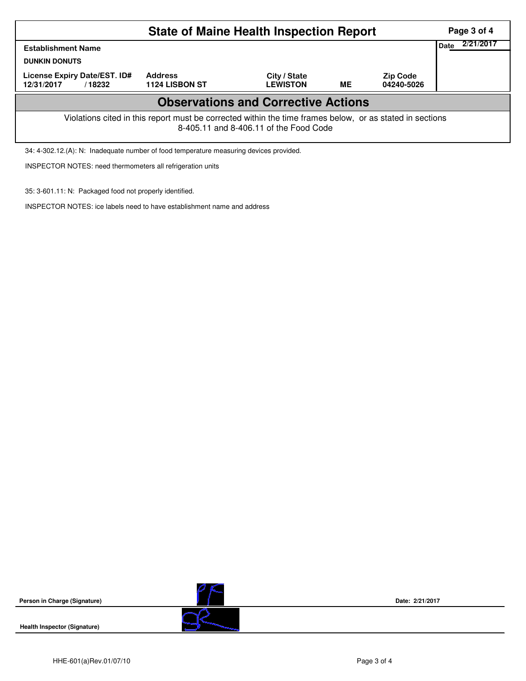|                                                                                                                                                    | Page 3 of 4                                       |                 |    |            |  |  |  |  |  |  |
|----------------------------------------------------------------------------------------------------------------------------------------------------|---------------------------------------------------|-----------------|----|------------|--|--|--|--|--|--|
| <b>Establishment Name</b><br><b>DUNKIN DONUTS</b>                                                                                                  | 2/21/2017<br><b>Date</b>                          |                 |    |            |  |  |  |  |  |  |
| License Expiry Date/EST. ID#                                                                                                                       | <b>Address</b><br>City / State<br><b>Zip Code</b> |                 |    |            |  |  |  |  |  |  |
| 12/31/2017<br>/18232                                                                                                                               | <b>1124 LISBON ST</b>                             | <b>LEWISTON</b> | ME | 04240-5026 |  |  |  |  |  |  |
| <b>Observations and Corrective Actions</b>                                                                                                         |                                                   |                 |    |            |  |  |  |  |  |  |
| Violations cited in this report must be corrected within the time frames below, or as stated in sections<br>8-405.11 and 8-406.11 of the Food Code |                                                   |                 |    |            |  |  |  |  |  |  |

34: 4-302.12.(A): N: Inadequate number of food temperature measuring devices provided.

INSPECTOR NOTES: need thermometers all refrigeration units

35: 3-601.11: N: Packaged food not properly identified.

INSPECTOR NOTES: ice labels need to have establishment name and address





**Date: 2/21/2017**

**Health Inspector (Signature)**